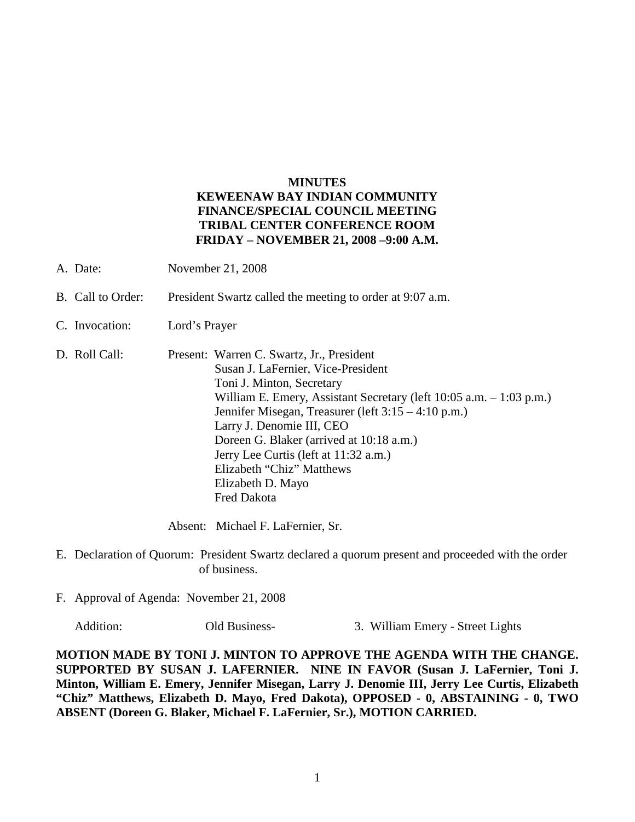## **MINUTES KEWEENAW BAY INDIAN COMMUNITY FINANCE/SPECIAL COUNCIL MEETING TRIBAL CENTER CONFERENCE ROOM FRIDAY – NOVEMBER 21, 2008 –9:00 A.M.**

- A. Date: November 21, 2008
- B. Call to Order: President Swartz called the meeting to order at 9:07 a.m.
- C. Invocation: Lord's Prayer
- D. Roll Call: Present: Warren C. Swartz, Jr., President Susan J. LaFernier, Vice-President Toni J. Minton, Secretary William E. Emery, Assistant Secretary (left 10:05 a.m. – 1:03 p.m.) Jennifer Misegan, Treasurer (left 3:15 – 4:10 p.m.) Larry J. Denomie III, CEO Doreen G. Blaker (arrived at 10:18 a.m.) Jerry Lee Curtis (left at 11:32 a.m.) Elizabeth "Chiz" Matthews Elizabeth D. Mayo Fred Dakota

Absent: Michael F. LaFernier, Sr.

- E. Declaration of Quorum: President Swartz declared a quorum present and proceeded with the order of business.
- F. Approval of Agenda: November 21, 2008

Addition: Old Business- 3. William Emery - Street Lights

**MOTION MADE BY TONI J. MINTON TO APPROVE THE AGENDA WITH THE CHANGE. SUPPORTED BY SUSAN J. LAFERNIER. NINE IN FAVOR (Susan J. LaFernier, Toni J. Minton, William E. Emery, Jennifer Misegan, Larry J. Denomie III, Jerry Lee Curtis, Elizabeth "Chiz" Matthews, Elizabeth D. Mayo, Fred Dakota), OPPOSED - 0, ABSTAINING - 0, TWO ABSENT (Doreen G. Blaker, Michael F. LaFernier, Sr.), MOTION CARRIED.**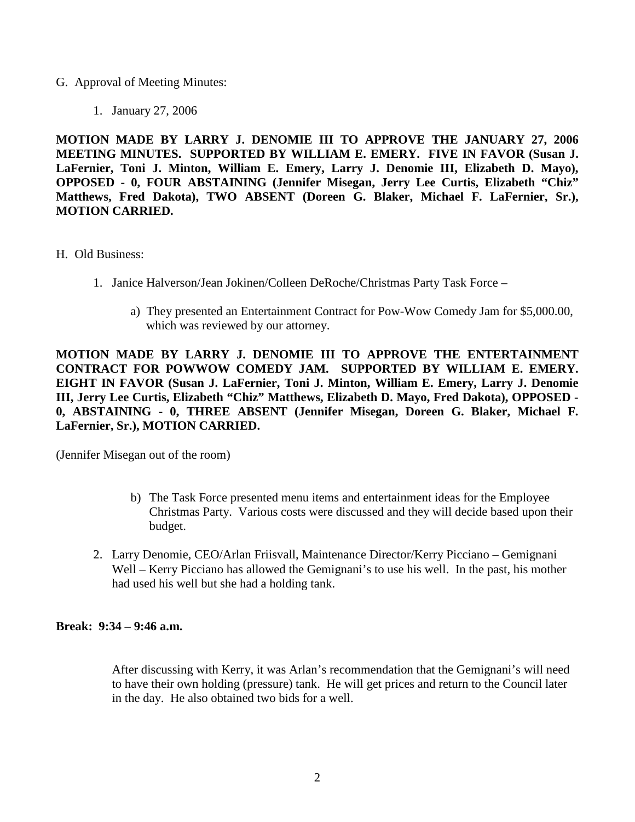## G. Approval of Meeting Minutes:

1. January 27, 2006

**MOTION MADE BY LARRY J. DENOMIE III TO APPROVE THE JANUARY 27, 2006 MEETING MINUTES. SUPPORTED BY WILLIAM E. EMERY. FIVE IN FAVOR (Susan J. LaFernier, Toni J. Minton, William E. Emery, Larry J. Denomie III, Elizabeth D. Mayo), OPPOSED - 0, FOUR ABSTAINING (Jennifer Misegan, Jerry Lee Curtis, Elizabeth "Chiz" Matthews, Fred Dakota), TWO ABSENT (Doreen G. Blaker, Michael F. LaFernier, Sr.), MOTION CARRIED.**

- H. Old Business:
	- 1. Janice Halverson/Jean Jokinen/Colleen DeRoche/Christmas Party Task Force
		- a) They presented an Entertainment Contract for Pow-Wow Comedy Jam for \$5,000.00, which was reviewed by our attorney.

**MOTION MADE BY LARRY J. DENOMIE III TO APPROVE THE ENTERTAINMENT CONTRACT FOR POWWOW COMEDY JAM. SUPPORTED BY WILLIAM E. EMERY. EIGHT IN FAVOR (Susan J. LaFernier, Toni J. Minton, William E. Emery, Larry J. Denomie III, Jerry Lee Curtis, Elizabeth "Chiz" Matthews, Elizabeth D. Mayo, Fred Dakota), OPPOSED - 0, ABSTAINING - 0, THREE ABSENT (Jennifer Misegan, Doreen G. Blaker, Michael F. LaFernier, Sr.), MOTION CARRIED.**

(Jennifer Misegan out of the room)

- b) The Task Force presented menu items and entertainment ideas for the Employee Christmas Party. Various costs were discussed and they will decide based upon their budget.
- 2. Larry Denomie, CEO/Arlan Friisvall, Maintenance Director/Kerry Picciano Gemignani Well – Kerry Picciano has allowed the Gemignani's to use his well. In the past, his mother had used his well but she had a holding tank.

## **Break: 9:34 – 9:46 a.m.**

After discussing with Kerry, it was Arlan's recommendation that the Gemignani's will need to have their own holding (pressure) tank. He will get prices and return to the Council later in the day. He also obtained two bids for a well.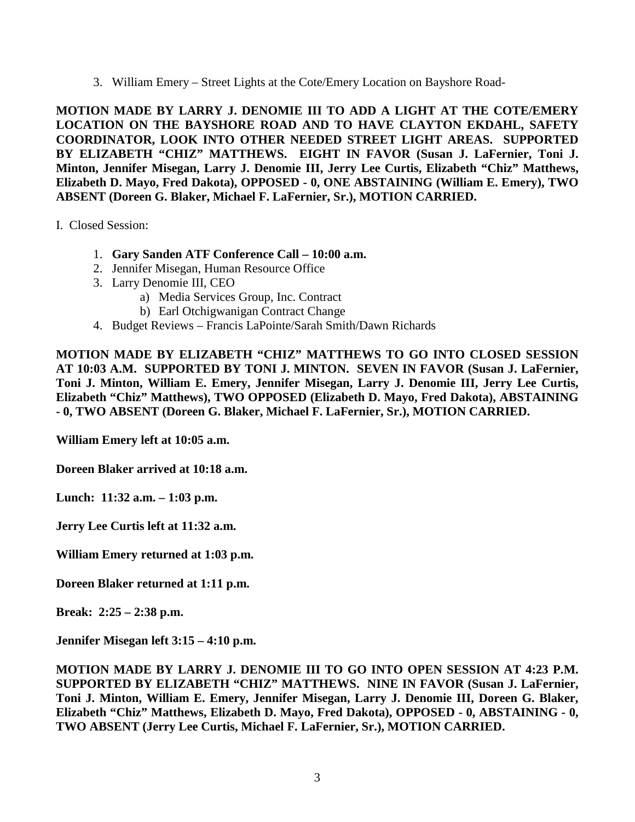3. William Emery – Street Lights at the Cote/Emery Location on Bayshore Road-

**MOTION MADE BY LARRY J. DENOMIE III TO ADD A LIGHT AT THE COTE/EMERY LOCATION ON THE BAYSHORE ROAD AND TO HAVE CLAYTON EKDAHL, SAFETY COORDINATOR, LOOK INTO OTHER NEEDED STREET LIGHT AREAS. SUPPORTED BY ELIZABETH "CHIZ" MATTHEWS. EIGHT IN FAVOR (Susan J. LaFernier, Toni J. Minton, Jennifer Misegan, Larry J. Denomie III, Jerry Lee Curtis, Elizabeth "Chiz" Matthews, Elizabeth D. Mayo, Fred Dakota), OPPOSED - 0, ONE ABSTAINING (William E. Emery), TWO ABSENT (Doreen G. Blaker, Michael F. LaFernier, Sr.), MOTION CARRIED.**

I. Closed Session:

- 1. **Gary Sanden ATF Conference Call – 10:00 a.m.**
- 2. Jennifer Misegan, Human Resource Office
- 3. Larry Denomie III, CEO
	- a) Media Services Group, Inc. Contract
	- b) Earl Otchigwanigan Contract Change
- 4. Budget Reviews Francis LaPointe/Sarah Smith/Dawn Richards

**MOTION MADE BY ELIZABETH "CHIZ" MATTHEWS TO GO INTO CLOSED SESSION AT 10:03 A.M. SUPPORTED BY TONI J. MINTON. SEVEN IN FAVOR (Susan J. LaFernier, Toni J. Minton, William E. Emery, Jennifer Misegan, Larry J. Denomie III, Jerry Lee Curtis, Elizabeth "Chiz" Matthews), TWO OPPOSED (Elizabeth D. Mayo, Fred Dakota), ABSTAINING - 0, TWO ABSENT (Doreen G. Blaker, Michael F. LaFernier, Sr.), MOTION CARRIED.**

**William Emery left at 10:05 a.m.**

**Doreen Blaker arrived at 10:18 a.m.**

**Lunch: 11:32 a.m. – 1:03 p.m.**

**Jerry Lee Curtis left at 11:32 a.m.**

**William Emery returned at 1:03 p.m.**

**Doreen Blaker returned at 1:11 p.m.**

**Break: 2:25 – 2:38 p.m.**

**Jennifer Misegan left 3:15 – 4:10 p.m.**

**MOTION MADE BY LARRY J. DENOMIE III TO GO INTO OPEN SESSION AT 4:23 P.M. SUPPORTED BY ELIZABETH "CHIZ" MATTHEWS. NINE IN FAVOR (Susan J. LaFernier, Toni J. Minton, William E. Emery, Jennifer Misegan, Larry J. Denomie III, Doreen G. Blaker, Elizabeth "Chiz" Matthews, Elizabeth D. Mayo, Fred Dakota), OPPOSED - 0, ABSTAINING - 0, TWO ABSENT (Jerry Lee Curtis, Michael F. LaFernier, Sr.), MOTION CARRIED.**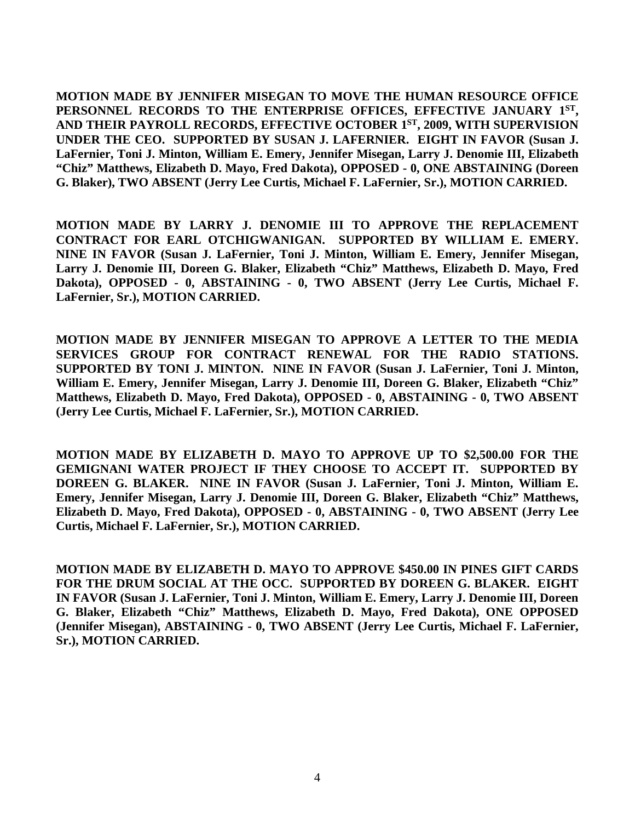**MOTION MADE BY JENNIFER MISEGAN TO MOVE THE HUMAN RESOURCE OFFICE PERSONNEL RECORDS TO THE ENTERPRISE OFFICES, EFFECTIVE JANUARY 1ST, AND THEIR PAYROLL RECORDS, EFFECTIVE OCTOBER 1ST, 2009, WITH SUPERVISION UNDER THE CEO. SUPPORTED BY SUSAN J. LAFERNIER. EIGHT IN FAVOR (Susan J. LaFernier, Toni J. Minton, William E. Emery, Jennifer Misegan, Larry J. Denomie III, Elizabeth "Chiz" Matthews, Elizabeth D. Mayo, Fred Dakota), OPPOSED - 0, ONE ABSTAINING (Doreen G. Blaker), TWO ABSENT (Jerry Lee Curtis, Michael F. LaFernier, Sr.), MOTION CARRIED.**

**MOTION MADE BY LARRY J. DENOMIE III TO APPROVE THE REPLACEMENT CONTRACT FOR EARL OTCHIGWANIGAN. SUPPORTED BY WILLIAM E. EMERY. NINE IN FAVOR (Susan J. LaFernier, Toni J. Minton, William E. Emery, Jennifer Misegan, Larry J. Denomie III, Doreen G. Blaker, Elizabeth "Chiz" Matthews, Elizabeth D. Mayo, Fred Dakota), OPPOSED - 0, ABSTAINING - 0, TWO ABSENT (Jerry Lee Curtis, Michael F. LaFernier, Sr.), MOTION CARRIED.**

**MOTION MADE BY JENNIFER MISEGAN TO APPROVE A LETTER TO THE MEDIA SERVICES GROUP FOR CONTRACT RENEWAL FOR THE RADIO STATIONS. SUPPORTED BY TONI J. MINTON. NINE IN FAVOR (Susan J. LaFernier, Toni J. Minton, William E. Emery, Jennifer Misegan, Larry J. Denomie III, Doreen G. Blaker, Elizabeth "Chiz" Matthews, Elizabeth D. Mayo, Fred Dakota), OPPOSED - 0, ABSTAINING - 0, TWO ABSENT (Jerry Lee Curtis, Michael F. LaFernier, Sr.), MOTION CARRIED.**

**MOTION MADE BY ELIZABETH D. MAYO TO APPROVE UP TO \$2,500.00 FOR THE GEMIGNANI WATER PROJECT IF THEY CHOOSE TO ACCEPT IT. SUPPORTED BY DOREEN G. BLAKER. NINE IN FAVOR (Susan J. LaFernier, Toni J. Minton, William E. Emery, Jennifer Misegan, Larry J. Denomie III, Doreen G. Blaker, Elizabeth "Chiz" Matthews, Elizabeth D. Mayo, Fred Dakota), OPPOSED - 0, ABSTAINING - 0, TWO ABSENT (Jerry Lee Curtis, Michael F. LaFernier, Sr.), MOTION CARRIED.**

**MOTION MADE BY ELIZABETH D. MAYO TO APPROVE \$450.00 IN PINES GIFT CARDS FOR THE DRUM SOCIAL AT THE OCC. SUPPORTED BY DOREEN G. BLAKER. EIGHT IN FAVOR (Susan J. LaFernier, Toni J. Minton, William E. Emery, Larry J. Denomie III, Doreen G. Blaker, Elizabeth "Chiz" Matthews, Elizabeth D. Mayo, Fred Dakota), ONE OPPOSED (Jennifer Misegan), ABSTAINING - 0, TWO ABSENT (Jerry Lee Curtis, Michael F. LaFernier, Sr.), MOTION CARRIED.**